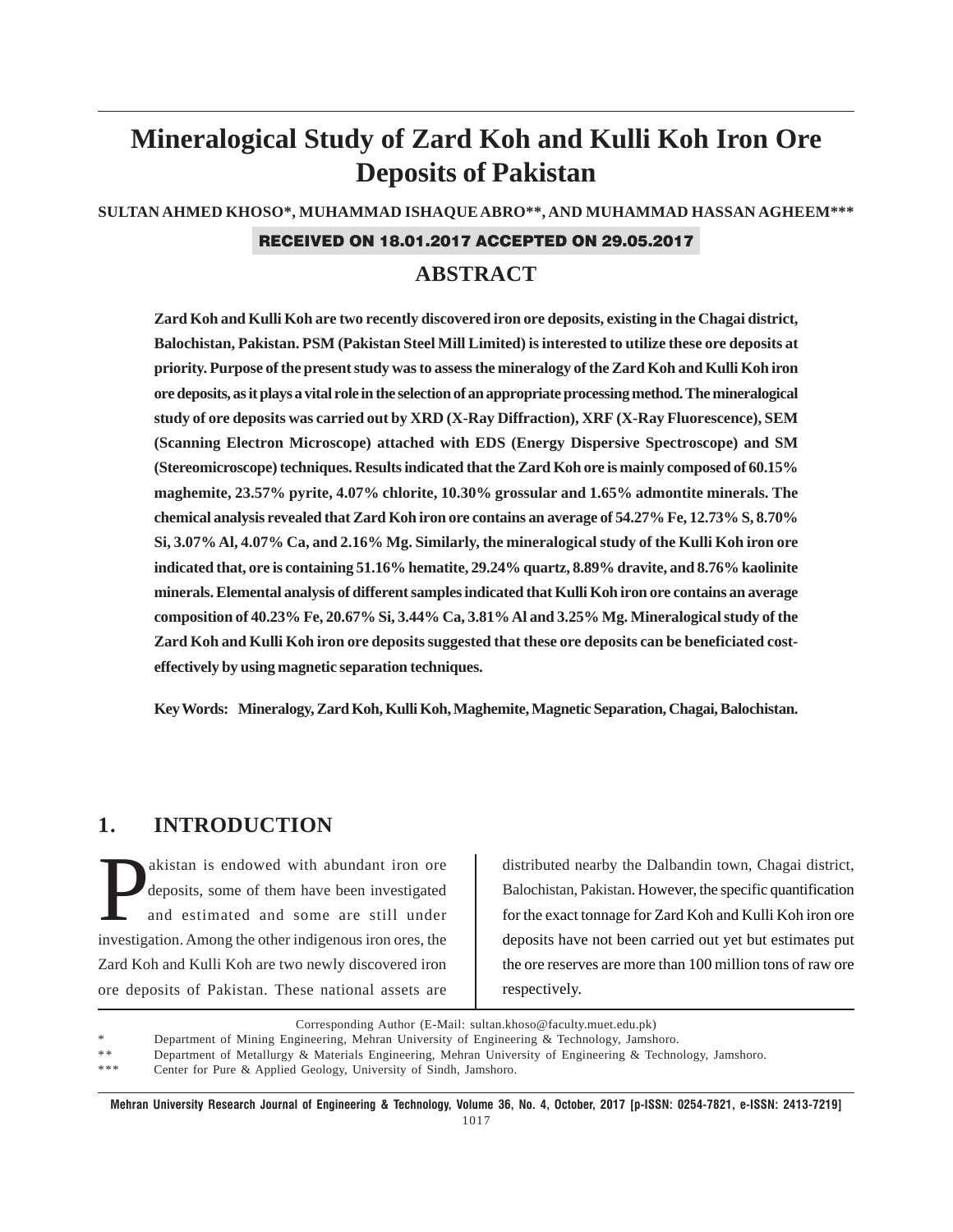# **Mineralogical Study of Zard Koh and Kulli Koh Iron Ore Deposits of Pakistan**

**SULTAN AHMED KHOSO\*, MUHAMMAD ISHAQUE ABRO\*\*, AND MUHAMMAD HASSAN AGHEEM\*\*\***

## RECEIVED ON 18.01.2017 ACCEPTED ON 29.05.2017

## **ABSTRACT**

**Zard Koh and Kulli Koh are two recently discovered iron ore deposits, existing in the Chagai district, Balochistan, Pakistan. PSM (Pakistan Steel Mill Limited) is interested to utilize these ore deposits at priority. Purpose of the present study was to assess the mineralogy of the Zard Koh and Kulli Koh iron ore deposits, as it plays a vital role in the selection of an appropriate processing method. The mineralogical study of ore deposits was carried out by XRD (X-Ray Diffraction), XRF (X-Ray Fluorescence), SEM (Scanning Electron Microscope) attached with EDS (Energy Dispersive Spectroscope) and SM (Stereomicroscope) techniques. Results indicated that the Zard Koh ore is mainly composed of 60.15% maghemite, 23.57% pyrite, 4.07% chlorite, 10.30% grossular and 1.65% admontite minerals. The chemical analysis revealed that Zard Koh iron ore contains an average of 54.27% Fe, 12.73% S, 8.70% Si, 3.07% Al, 4.07% Ca, and 2.16% Mg. Similarly, the mineralogical study of the Kulli Koh iron ore indicated that, ore is containing 51.16% hematite, 29.24% quartz, 8.89% dravite, and 8.76% kaolinite minerals. Elemental analysis of different samples indicated that Kulli Koh iron ore contains an average composition of 40.23% Fe, 20.67% Si, 3.44% Ca, 3.81% Al and 3.25% Mg. Mineralogical study of the Zard Koh and Kulli Koh iron ore deposits suggested that these ore deposits can be beneficiated costeffectively by using magnetic separation techniques.**

**Key Words: Mineralogy, Zard Koh, Kulli Koh, Maghemite, Magnetic Separation, Chagai, Balochistan.**

## **1. INTRODUCTION**

akistan is endowed with abundant iron ore deposits, some of them have been investigated and estimated and some are still under deposits, some of them have been investigated and estimated and some are still under investigation. Among the other indigenous iron ores, the Zard Koh and Kulli Koh are two newly discovered iron ore deposits of Pakistan. These national assets are

distributed nearby the Dalbandin town, Chagai district, Balochistan, Pakistan. However, the specific quantification for the exact tonnage for Zard Koh and Kulli Koh iron ore deposits have not been carried out yet but estimates put the ore reserves are more than 100 million tons of raw ore respectively.

Corresponding Author (E-Mail: sultan.khoso@faculty.muet.edu.pk)

Department of Mining Engineering, Mehran University of Engineering & Technology, Jamshoro.

Department of Metallurgy & Materials Engineering, Mehran University of Engineering & Technology, Jamshoro.

Center for Pure & Applied Geology, University of Sindh, Jamshoro.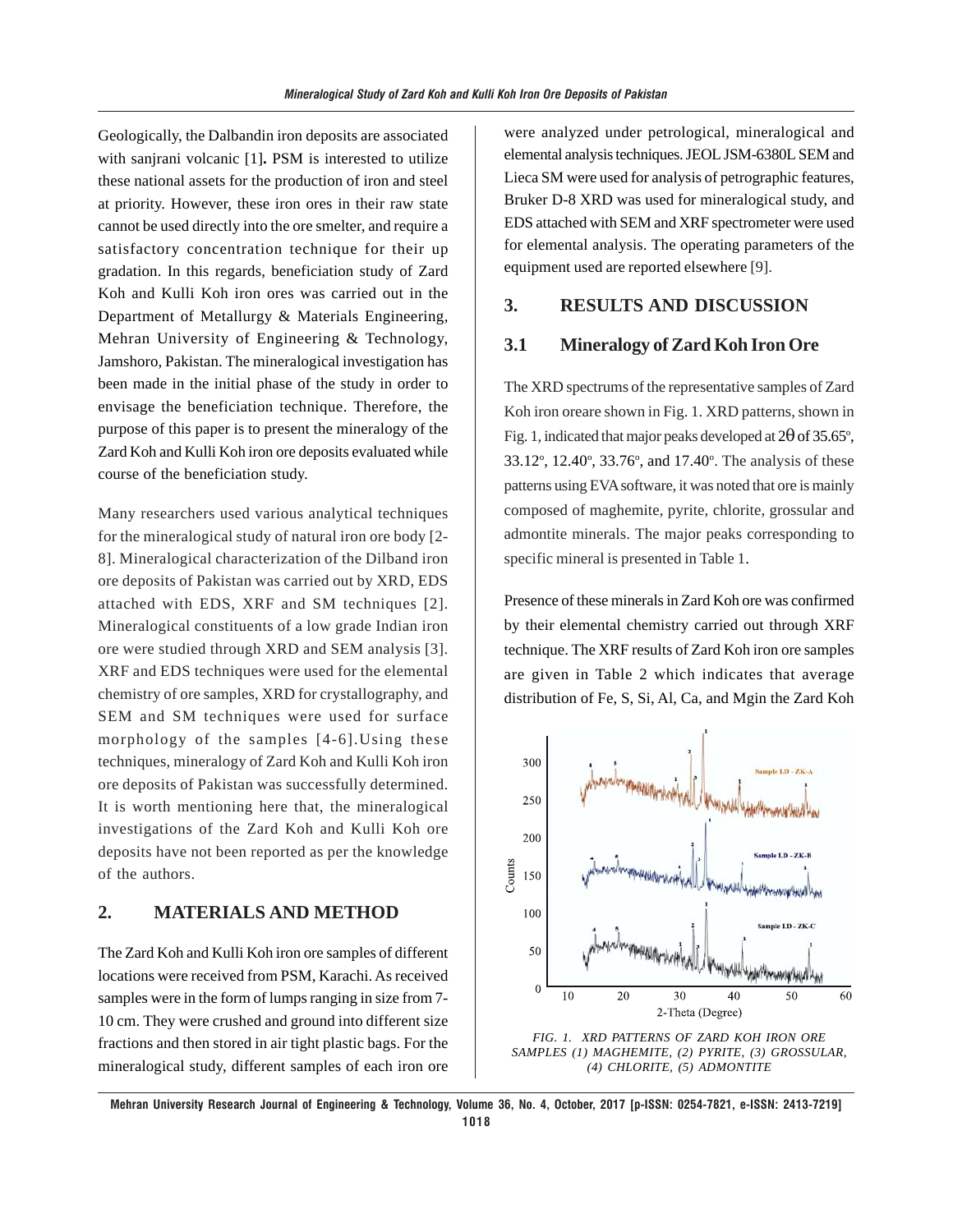Geologically, the Dalbandin iron deposits are associated with sanjrani volcanic [1]**.** PSM is interested to utilize these national assets for the production of iron and steel at priority. However, these iron ores in their raw state cannot be used directly into the ore smelter, and require a satisfactory concentration technique for their up gradation. In this regards, beneficiation study of Zard Koh and Kulli Koh iron ores was carried out in the Department of Metallurgy & Materials Engineering, Mehran University of Engineering & Technology, Jamshoro, Pakistan. The mineralogical investigation has been made in the initial phase of the study in order to envisage the beneficiation technique. Therefore, the purpose of this paper is to present the mineralogy of the Zard Koh and Kulli Koh iron ore deposits evaluated while course of the beneficiation study.

Many researchers used various analytical techniques for the mineralogical study of natural iron ore body [2- 8]. Mineralogical characterization of the Dilband iron ore deposits of Pakistan was carried out by XRD, EDS attached with EDS, XRF and SM techniques [2]. Mineralogical constituents of a low grade Indian iron ore were studied through XRD and SEM analysis [3]. XRF and EDS techniques were used for the elemental chemistry of ore samples, XRD for crystallography, and SEM and SM techniques were used for surface morphology of the samples [4-6].Using these techniques, mineralogy of Zard Koh and Kulli Koh iron ore deposits of Pakistan was successfully determined. It is worth mentioning here that, the mineralogical investigations of the Zard Koh and Kulli Koh ore deposits have not been reported as per the knowledge of the authors.

### **2. MATERIALS AND METHOD**

The Zard Koh and Kulli Koh iron ore samples of different locations were received from PSM, Karachi. As received samples were in the form of lumps ranging in size from 7- 10 cm. They were crushed and ground into different size fractions and then stored in air tight plastic bags. For the mineralogical study, different samples of each iron ore were analyzed under petrological, mineralogical and elemental analysis techniques. JEOL JSM-6380L SEM and Lieca SM were used for analysis of petrographic features, Bruker D-8 XRD was used for mineralogical study, and EDS attached with SEM and XRF spectrometer were used for elemental analysis. The operating parameters of the equipment used are reported elsewhere [9].

## **3. RESULTS AND DISCUSSION**

## **3.1 Mineralogy of Zard Koh Iron Ore**

The XRD spectrums of the representative samples of Zard Koh iron oreare shown in Fig. 1. XRD patterns, shown in Fig. 1, indicated that major peaks developed at  $2\theta$  of 35.65°, 33.12°, 12.40°, 33.76°, and 17.40°. The analysis of these patterns using EVA software, it was noted that ore is mainly composed of maghemite, pyrite, chlorite, grossular and admontite minerals. The major peaks corresponding to specific mineral is presented in Table 1.

Presence of these minerals in Zard Koh ore was confirmed by their elemental chemistry carried out through XRF technique. The XRF results of Zard Koh iron ore samples are given in Table 2 which indicates that average distribution of Fe, S, Si, Al, Ca, and Mgin the Zard Koh



*SAMPLES (1) MAGHEMITE, (2) PYRITE, (3) GROSSULAR, (4) CHLORITE, (5) ADMONTITE*

**Mehran University Research Journal of Engineering & Technology, Volume 36, No. 4, October, 2017 [p-ISSN: 0254-7821, e-ISSN: 2413-7219] 1018**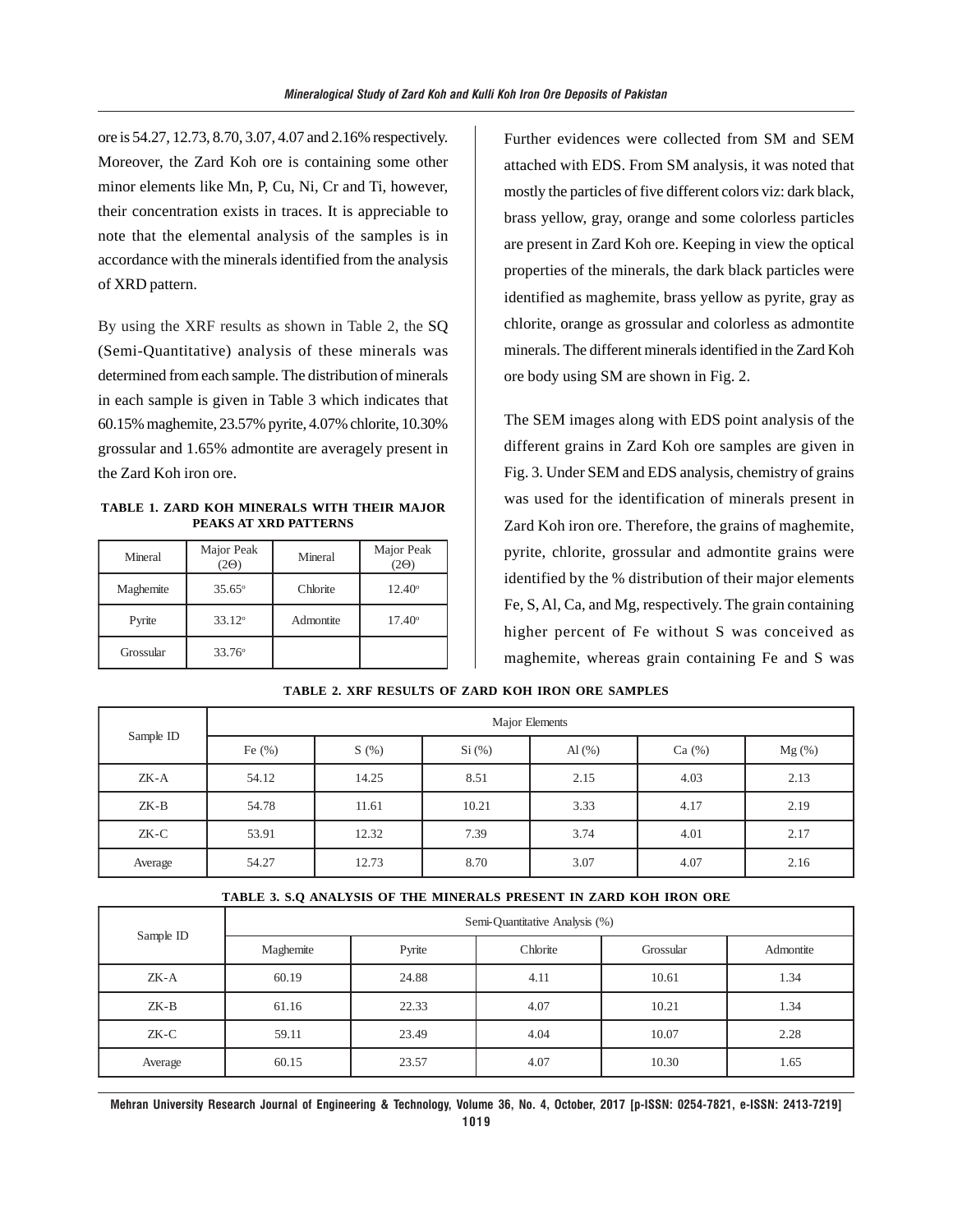ore is 54.27, 12.73, 8.70, 3.07, 4.07 and 2.16% respectively. Moreover, the Zard Koh ore is containing some other minor elements like Mn, P, Cu, Ni, Cr and Ti, however, their concentration exists in traces. It is appreciable to note that the elemental analysis of the samples is in accordance with the minerals identified from the analysis of XRD pattern.

By using the XRF results as shown in Table 2, the SQ (Semi-Quantitative) analysis of these minerals was determined from each sample. The distribution of minerals in each sample is given in Table 3 which indicates that 60.15% maghemite, 23.57% pyrite, 4.07% chlorite, 10.30% grossular and 1.65% admontite are averagely present in the Zard Koh iron ore.

**TABLE 1. ZARD KOH MINERALS WITH THEIR MAJOR PEAKS AT XRD PATTERNS**

| Mineral   | Major Peak<br>2Θ) | Mineral   | Major Peak<br>20 |
|-----------|-------------------|-----------|------------------|
| Maghemite | $35.65^{\circ}$   | Chlorite  | $12.40^{\circ}$  |
| Pyrite    | $33.12^{\circ}$   | Admontite | $17.40^{\circ}$  |
| Grossular | $33.76^{\circ}$   |           |                  |

Further evidences were collected from SM and SEM attached with EDS. From SM analysis, it was noted that mostly the particles of five different colors viz: dark black, brass yellow, gray, orange and some colorless particles are present in Zard Koh ore. Keeping in view the optical properties of the minerals, the dark black particles were identified as maghemite, brass yellow as pyrite, gray as chlorite, orange as grossular and colorless as admontite minerals. The different minerals identified in the Zard Koh ore body using SM are shown in Fig. 2.

The SEM images along with EDS point analysis of the different grains in Zard Koh ore samples are given in Fig. 3. Under SEM and EDS analysis, chemistry of grains was used for the identification of minerals present in Zard Koh iron ore. Therefore, the grains of maghemite, pyrite, chlorite, grossular and admontite grains were identified by the % distribution of their major elements Fe, S, Al, Ca, and Mg, respectively. The grain containing higher percent of Fe without S was conceived as maghemite, whereas grain containing Fe and S was

| Sample ID | Major Elements |       |          |                              |       |          |
|-----------|----------------|-------|----------|------------------------------|-------|----------|
|           | Fe $(\%)$      | S(%)  | $Si$ (%) | $\mathrm{Al}\left(\%\right)$ | Ca(%) | $Mg$ (%) |
| $ZK-A$    | 54.12          | 14.25 | 8.51     | 2.15                         | 4.03  | 2.13     |
| $ZK-B$    | 54.78          | 11.61 | 10.21    | 3.33                         | 4.17  | 2.19     |
| ZK-C      | 53.91          | 12.32 | 7.39     | 3.74                         | 4.01  | 2.17     |
| Average   | 54.27          | 12.73 | 8.70     | 3.07                         | 4.07  | 2.16     |

#### **TABLE 2. XRF RESULTS OF ZARD KOH IRON ORE SAMPLES**

#### **TABLE 3. S.Q ANALYSIS OF THE MINERALS PRESENT IN ZARD KOH IRON ORE**

| Sample ID | Semi-Quantitative Analysis (%) |        |          |           |           |  |
|-----------|--------------------------------|--------|----------|-----------|-----------|--|
|           | Maghemite                      | Pyrite | Chlorite | Grossular | Admontite |  |
| $ZK-A$    | 60.19                          | 24.88  | 4.11     | 10.61     | 1.34      |  |
| ZK-B      | 61.16                          | 22.33  | 4.07     | 10.21     | 1.34      |  |
| $ZK-C$    | 59.11                          | 23.49  | 4.04     | 10.07     | 2.28      |  |
| Average   | 60.15                          | 23.57  | 4.07     | 10.30     | 1.65      |  |

**Mehran University Research Journal of Engineering & Technology, Volume 36, No. 4, October, 2017 [p-ISSN: 0254-7821, e-ISSN: 2413-7219] 1019**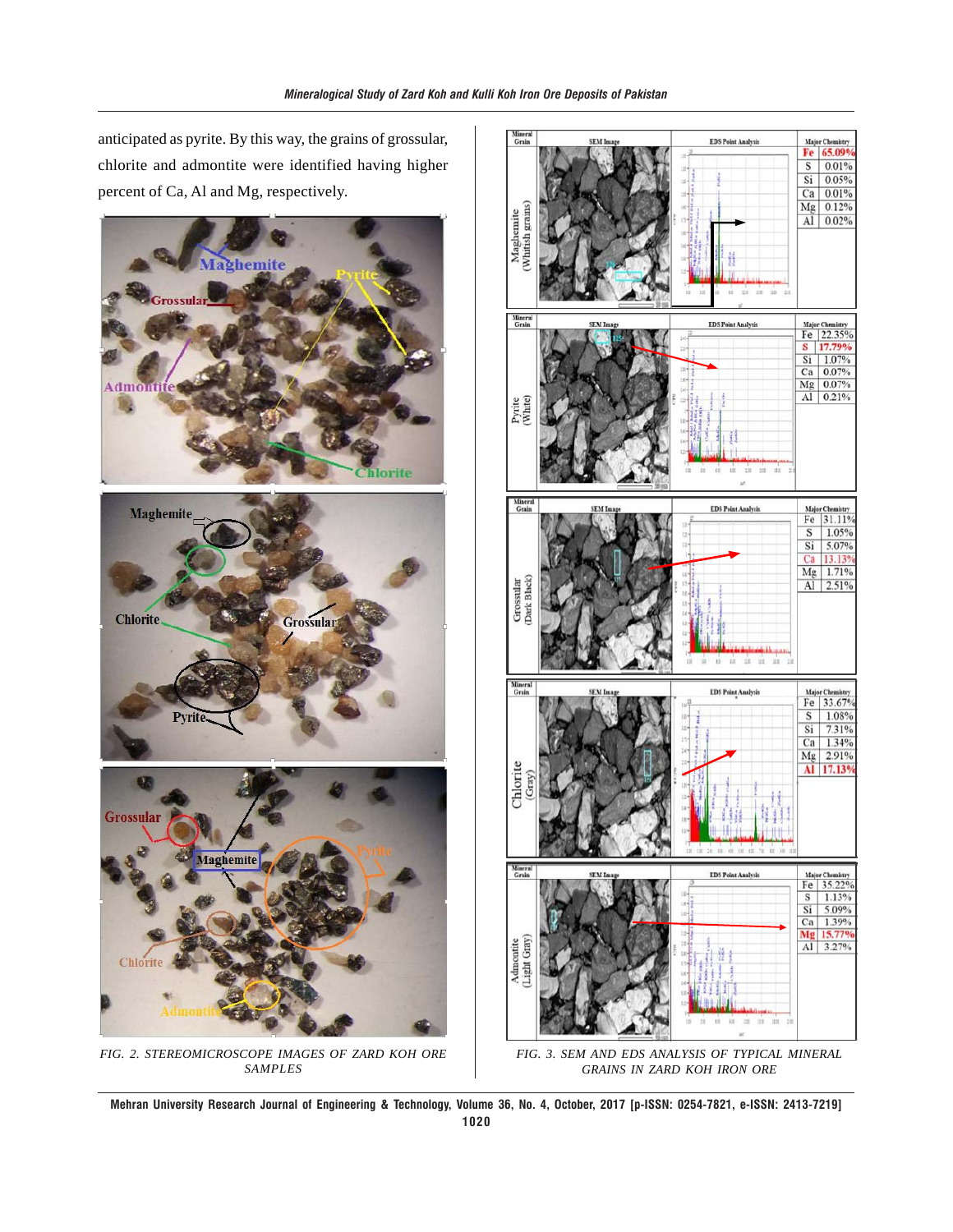anticipated as pyrite. By this way, the grains of grossular, chlorite and admontite were identified having higher percent of Ca, Al and Mg, respectively.



*FIG. 2. STEREOMICROSCOPE IMAGES OF ZARD KOH ORE SAMPLES*



*FIG. 3. SEM AND EDS ANALYSIS OF TYPICAL MINERAL GRAINS IN ZARD KOH IRON ORE*

**Mehran University Research Journal of Engineering & Technology, Volume 36, No. 4, October, 2017 [p-ISSN: 0254-7821, e-ISSN: 2413-7219] 1020**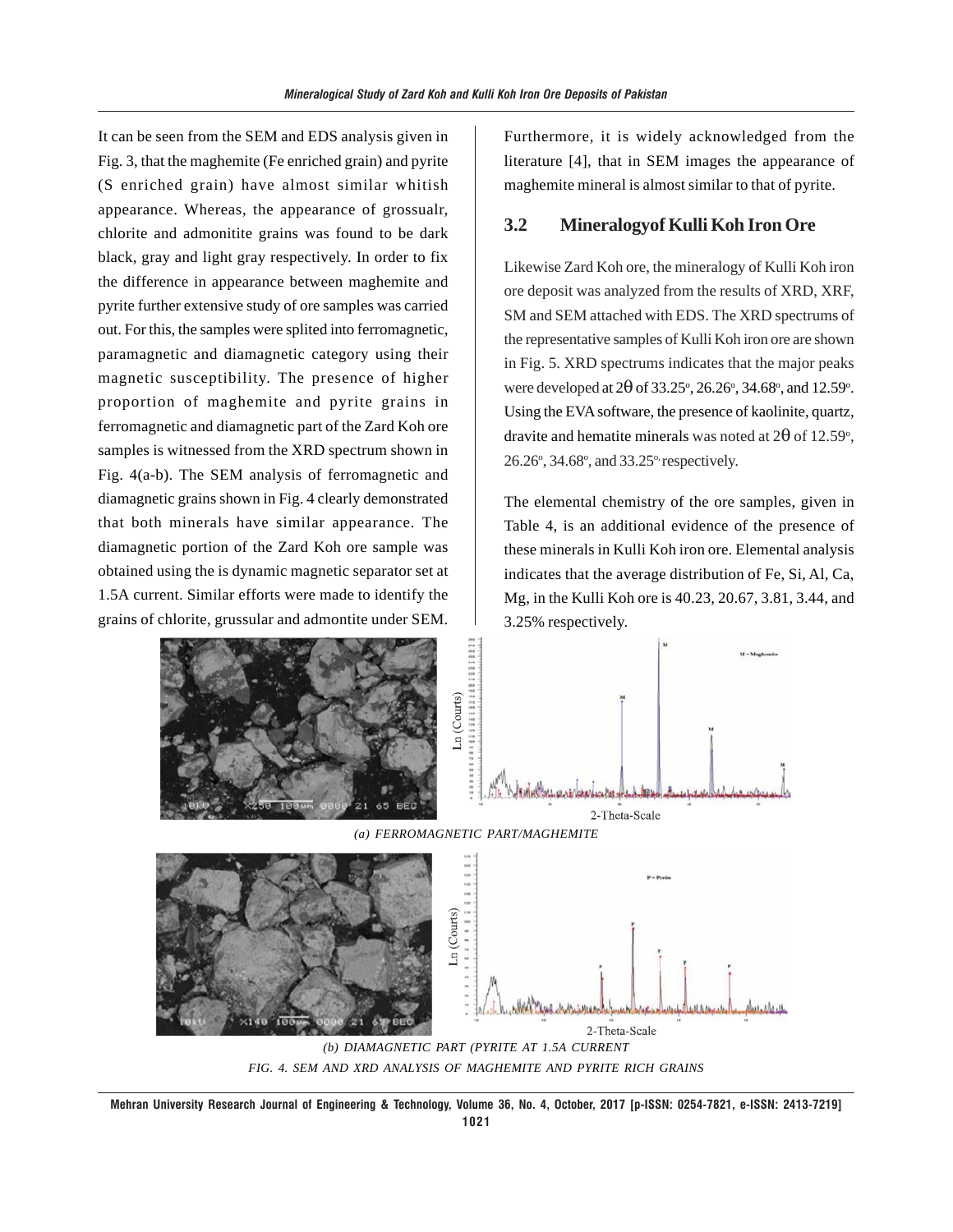It can be seen from the SEM and EDS analysis given in Fig. 3, that the maghemite (Fe enriched grain) and pyrite (S enriched grain) have almost similar whitish appearance. Whereas, the appearance of grossualr, chlorite and admonitite grains was found to be dark black, gray and light gray respectively. In order to fix the difference in appearance between maghemite and pyrite further extensive study of ore samples was carried out. For this, the samples were splited into ferromagnetic, paramagnetic and diamagnetic category using their magnetic susceptibility. The presence of higher proportion of maghemite and pyrite grains in ferromagnetic and diamagnetic part of the Zard Koh ore samples is witnessed from the XRD spectrum shown in Fig. 4(a-b). The SEM analysis of ferromagnetic and diamagnetic grains shown in Fig. 4 clearly demonstrated that both minerals have similar appearance. The diamagnetic portion of the Zard Koh ore sample was obtained using the is dynamic magnetic separator set at 1.5A current. Similar efforts were made to identify the grains of chlorite, grussular and admontite under SEM.

Furthermore, it is widely acknowledged from the literature [4], that in SEM images the appearance of maghemite mineral is almost similar to that of pyrite.

## **3.2 Mineralogyof Kulli Koh Iron Ore**

Likewise Zard Koh ore, the mineralogy of Kulli Koh iron ore deposit was analyzed from the results of XRD, XRF, SM and SEM attached with EDS. The XRD spectrums of the representative samples of Kulli Koh iron ore are shown in Fig. 5. XRD spectrums indicates that the major peaks were developed at  $2\theta$  of 33.25°, 26.26°, 34.68°, and 12.59°. Using the EVA software, the presence of kaolinite, quartz, dravite and hematite minerals was noted at 2 $\theta$  of 12.59°, 26.26°, 34.68°, and 33.25° respectively.

The elemental chemistry of the ore samples, given in Table 4, is an additional evidence of the presence of these minerals in Kulli Koh iron ore. Elemental analysis indicates that the average distribution of Fe, Si, Al, Ca, Mg, in the Kulli Koh ore is 40.23, 20.67, 3.81, 3.44, and 3.25% respectively.



**Mehran University Research Journal of Engineering & Technology, Volume 36, No. 4, October, 2017 [p-ISSN: 0254-7821, e-ISSN: 2413-7219] 1021**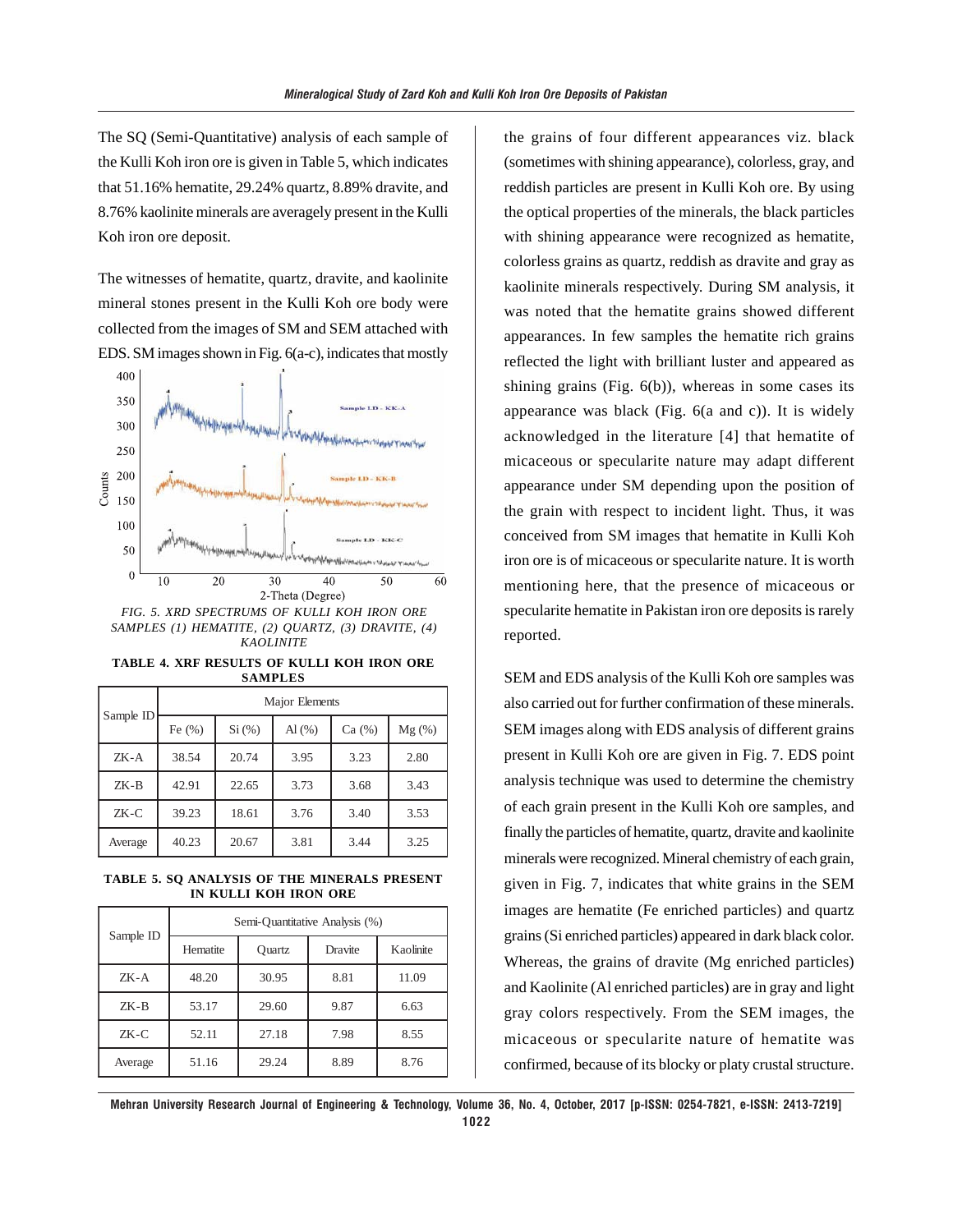The SQ (Semi-Quantitative) analysis of each sample of the Kulli Koh iron ore is given in Table 5, which indicates that 51.16% hematite, 29.24% quartz, 8.89% dravite, and 8.76% kaolinite minerals are averagely present in the Kulli Koh iron ore deposit.

The witnesses of hematite, quartz, dravite, and kaolinite mineral stones present in the Kulli Koh ore body were collected from the images of SM and SEM attached with EDS. SM images shown in Fig. 6(a-c), indicates that mostly



*KAOLINITE*

**TABLE 4. XRF RESULTS OF KULLI KOH IRON ORE SAMPLES**

| Sample ID | Major Elements |        |           |       |          |  |
|-----------|----------------|--------|-----------|-------|----------|--|
|           | Fe $(% )$      | Si (%) | Al $(\%)$ | Ca(%) | $Mg(\%)$ |  |
| ZK-A      | 38.54          | 20.74  | 3.95      | 3.23  | 2.80     |  |
| $ZK-B$    | 42.91          | 22.65  | 3.73      | 3.68  | 3.43     |  |
| ZK-C      | 39.23          | 18.61  | 3.76      | 3.40  | 3.53     |  |
| Average   | 40.23          | 20.67  | 3.81      | 3.44  | 3.25     |  |

**TABLE 5. SQ ANALYSIS OF THE MINERALS PRESENT IN KULLI KOH IRON ORE**

| Sample ID | Semi-Quantitative Analysis (%) |        |         |           |  |  |
|-----------|--------------------------------|--------|---------|-----------|--|--|
|           | Hematite                       | Ouartz | Dravite | Kaolinite |  |  |
| $ZK-A$    | 48.20                          | 30.95  | 8.81    | 11.09     |  |  |
| $ZK-B$    | 53.17                          | 29.60  | 9.87    | 6.63      |  |  |
| $ZK-C$    | 52.11                          | 27.18  | 7.98    | 8.55      |  |  |
| Average   | 51.16                          | 29.24  | 8.89    | 8.76      |  |  |

the grains of four different appearances viz. black (sometimes with shining appearance), colorless, gray, and reddish particles are present in Kulli Koh ore. By using the optical properties of the minerals, the black particles with shining appearance were recognized as hematite, colorless grains as quartz, reddish as dravite and gray as kaolinite minerals respectively. During SM analysis, it was noted that the hematite grains showed different appearances. In few samples the hematite rich grains reflected the light with brilliant luster and appeared as shining grains (Fig.  $6(b)$ ), whereas in some cases its appearance was black (Fig. 6(a and c)). It is widely acknowledged in the literature [4] that hematite of micaceous or specularite nature may adapt different appearance under SM depending upon the position of the grain with respect to incident light. Thus, it was conceived from SM images that hematite in Kulli Koh iron ore is of micaceous or specularite nature. It is worth mentioning here, that the presence of micaceous or specularite hematite in Pakistan iron ore deposits is rarely reported.

SEM and EDS analysis of the Kulli Koh ore samples was also carried out for further confirmation of these minerals. SEM images along with EDS analysis of different grains present in Kulli Koh ore are given in Fig. 7. EDS point analysis technique was used to determine the chemistry of each grain present in the Kulli Koh ore samples, and finally the particles of hematite, quartz, dravite and kaolinite minerals were recognized. Mineral chemistry of each grain, given in Fig. 7, indicates that white grains in the SEM images are hematite (Fe enriched particles) and quartz grains (Si enriched particles) appeared in dark black color. Whereas, the grains of dravite (Mg enriched particles) and Kaolinite (Al enriched particles) are in gray and light gray colors respectively. From the SEM images, the micaceous or specularite nature of hematite was confirmed, because of its blocky or platy crustal structure.

**Mehran University Research Journal of Engineering & Technology, Volume 36, No. 4, October, 2017 [p-ISSN: 0254-7821, e-ISSN: 2413-7219] 1022**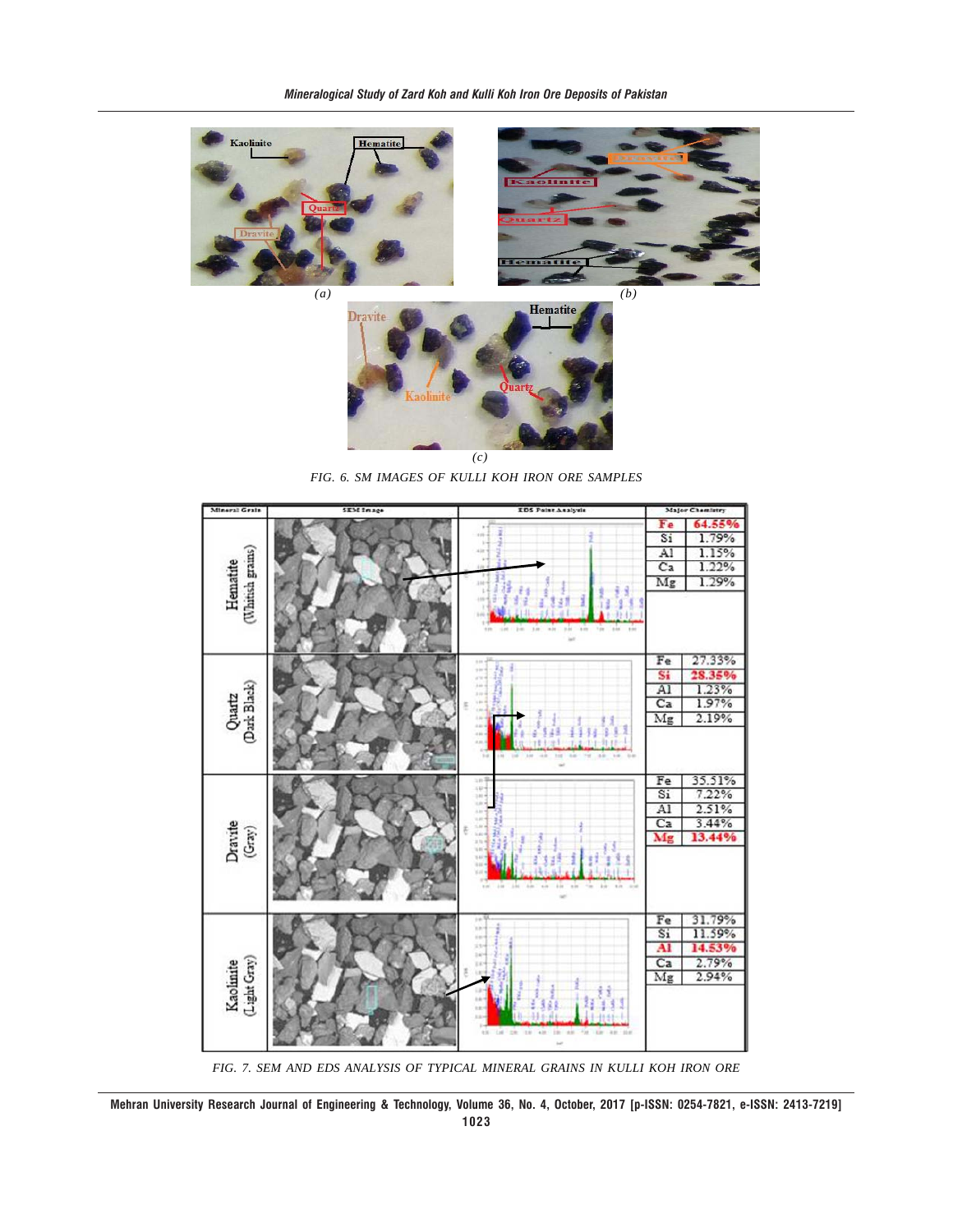



*FIG. 6. SM IMAGES OF KULLI KOH IRON ORE SAMPLES*



*FIG. 7. SEM AND EDS ANALYSIS OF TYPICAL MINERAL GRAINS IN KULLI KOH IRON ORE*

**Mehran University Research Journal of Engineering & Technology, Volume 36, No. 4, October, 2017 [p-ISSN: 0254-7821, e-ISSN: 2413-7219] 1023**